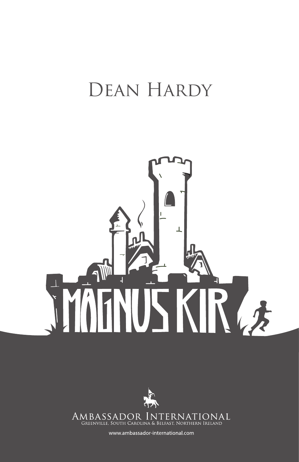## DEAN HARDY





www.ambassador-international.com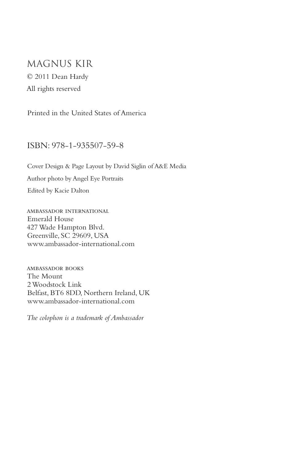## Magnus kir © 2011 Dean Hardy

All rights reserved

Printed in the United States of America

## ISBN: 978-1-935507-59-8

Cover Design & Page Layout by David Siglin of A&E Media Author photo by Angel Eye Portraits Edited by Kacie Dalton

ambassador international Emerald House 427 Wade Hampton Blvd. Greenville, SC 29609, USA www.ambassador-international.com

ambassador books The Mount 2 Woodstock Link Belfast, BT6 8DD, Northern Ireland, UK www.ambassador-international.com

*The colophon is a trademark of Ambassador*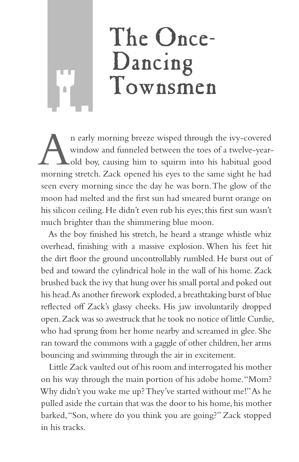## The Once-Dancing Townsmen

In early morning breeze wisped through the ivy-covered<br>window and funneled between the toes of a twelve-year-<br>old boy, causing him to squirm into his habitual good<br>morning stratch. Zack opened his eyes to the same sight he window and funneled between the toes of a twelve-yearold boy, causing him to squirm into his habitual good morning stretch. Zack opened his eyes to the same sight he had seen every morning since the day he was born. The glow of the moon had melted and the first sun had smeared burnt orange on his silicon ceiling. He didn't even rub his eyes; this first sun wasn't much brighter than the shimmering blue moon.

As the boy finished his stretch, he heard a strange whistle whiz overhead, finishing with a massive explosion. When his feet hit the dirt floor the ground uncontrollably rumbled. He burst out of bed and toward the cylindrical hole in the wall of his home. Zack brushed back the ivy that hung over his small portal and poked out his head. As another firework exploded, a breathtaking burst of blue reflected off Zack's glassy cheeks. His jaw involuntarily dropped open. Zack was so awestruck that he took no notice of little Curdie, who had sprung from her home nearby and screamed in glee. She ran toward the commons with a gaggle of other children, her arms bouncing and swimming through the air in excitement.

Little Zack vaulted out of his room and interrogated his mother on his way through the main portion of his adobe home. "Mom? Why didn't you wake me up? They've started without me!" As he pulled aside the curtain that was the door to his home, his mother barked, "Son, where do you think you are going?" Zack stopped in his tracks.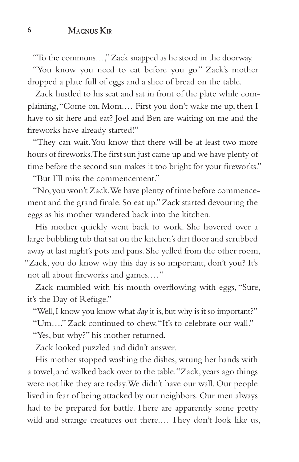"To the commons…," Zack snapped as he stood in the doorway.

"You know you need to eat before you go." Zack's mother dropped a plate full of eggs and a slice of bread on the table.

Zack hustled to his seat and sat in front of the plate while complaining, "Come on, Mom.… First you don't wake me up, then I have to sit here and eat? Joel and Ben are waiting on me and the fireworks have already started!"

"They can wait. You know that there will be at least two more hours of fireworks. The first sun just came up and we have plenty of time before the second sun makes it too bright for your fireworks."

"But I'll miss the commencement."

"No, you won't Zack. We have plenty of time before commencement and the grand finale. So eat up." Zack started devouring the eggs as his mother wandered back into the kitchen.

His mother quickly went back to work. She hovered over a large bubbling tub that sat on the kitchen's dirt floor and scrubbed away at last night's pots and pans. She yelled from the other room, "Zack, you do know why this day is so important, don't you? It's not all about fireworks and games.…"

Zack mumbled with his mouth overflowing with eggs, "Sure, it's the Day of Refuge."

"Well, I know you know what *day* it is, but why is it so important?"

"Um…." Zack continued to chew. "It's to celebrate our wall."

"Yes, but why?" his mother returned.

Zack looked puzzled and didn't answer.

His mother stopped washing the dishes, wrung her hands with a towel, and walked back over to the table. "Zack, years ago things were not like they are today. We didn't have our wall. Our people lived in fear of being attacked by our neighbors. Our men always had to be prepared for battle. There are apparently some pretty wild and strange creatures out there.… They don't look like us,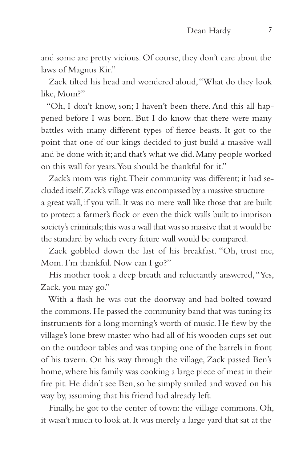and some are pretty vicious. Of course, they don't care about the laws of Magnus Kir."

Zack tilted his head and wondered aloud, "What do they look like, Mom?"

"Oh, I don't know, son; I haven't been there. And this all happened before I was born. But I do know that there were many battles with many different types of fierce beasts. It got to the point that one of our kings decided to just build a massive wall and be done with it; and that's what we did. Many people worked on this wall for years. You should be thankful for it."

Zack's mom was right. Their community was different; it had secluded itself. Zack's village was encompassed by a massive structure a great wall, if you will. It was no mere wall like those that are built to protect a farmer's flock or even the thick walls built to imprison society's criminals; this was a wall that was so massive that it would be the standard by which every future wall would be compared.

Zack gobbled down the last of his breakfast. "Oh, trust me, Mom. I'm thankful. Now can I go?"

His mother took a deep breath and reluctantly answered, "Yes, Zack, you may go."

With a flash he was out the doorway and had bolted toward the commons. He passed the community band that was tuning its instruments for a long morning's worth of music. He flew by the village's lone brew master who had all of his wooden cups set out on the outdoor tables and was tapping one of the barrels in front of his tavern. On his way through the village, Zack passed Ben's home, where his family was cooking a large piece of meat in their fire pit. He didn't see Ben, so he simply smiled and waved on his way by, assuming that his friend had already left.

Finally, he got to the center of town: the village commons. Oh, it wasn't much to look at. It was merely a large yard that sat at the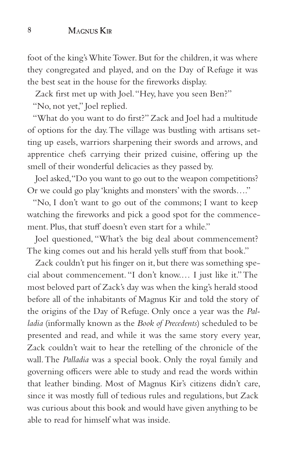foot of the king's White Tower. But for the children, it was where they congregated and played, and on the Day of Refuge it was the best seat in the house for the fireworks display.

Zack first met up with Joel. "Hey, have you seen Ben?"

"No, not yet," Joel replied.

"What do you want to do first?" Zack and Joel had a multitude of options for the day. The village was bustling with artisans setting up easels, warriors sharpening their swords and arrows, and apprentice chefs carrying their prized cuisine, offering up the smell of their wonderful delicacies as they passed by.

Joel asked, "Do you want to go out to the weapon competitions? Or we could go play 'knights and monsters' with the swords…."

"No, I don't want to go out of the commons; I want to keep watching the fireworks and pick a good spot for the commencement. Plus, that stuff doesn't even start for a while."

Joel questioned, "What's the big deal about commencement? The king comes out and his herald yells stuff from that book."

Zack couldn't put his finger on it, but there was something special about commencement. "I don't know.… I just like it." The most beloved part of Zack's day was when the king's herald stood before all of the inhabitants of Magnus Kir and told the story of the origins of the Day of Refuge. Only once a year was the *Palladia* (informally known as the *Book of Precedents*) scheduled to be presented and read, and while it was the same story every year, Zack couldn't wait to hear the retelling of the chronicle of the wall. The *Palladia* was a special book. Only the royal family and governing officers were able to study and read the words within that leather binding. Most of Magnus Kir's citizens didn't care, since it was mostly full of tedious rules and regulations, but Zack was curious about this book and would have given anything to be able to read for himself what was inside.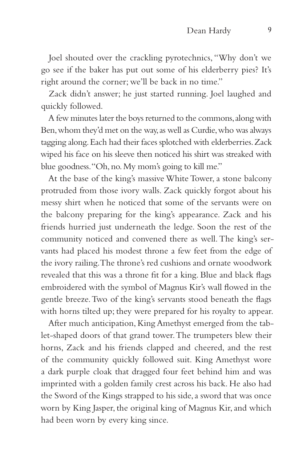Joel shouted over the crackling pyrotechnics, "Why don't we go see if the baker has put out some of his elderberry pies? It's right around the corner; we'll be back in no time."

Zack didn't answer; he just started running. Joel laughed and quickly followed.

A few minutes later the boys returned to the commons, along with Ben, whom they'd met on the way, as well as Curdie, who was always tagging along. Each had their faces splotched with elderberries. Zack wiped his face on his sleeve then noticed his shirt was streaked with blue goodness. "Oh, no. My mom's going to kill me."

At the base of the king's massive White Tower, a stone balcony protruded from those ivory walls. Zack quickly forgot about his messy shirt when he noticed that some of the servants were on the balcony preparing for the king's appearance. Zack and his friends hurried just underneath the ledge. Soon the rest of the community noticed and convened there as well. The king's servants had placed his modest throne a few feet from the edge of the ivory railing. The throne's red cushions and ornate woodwork revealed that this was a throne fit for a king. Blue and black flags embroidered with the symbol of Magnus Kir's wall flowed in the gentle breeze. Two of the king's servants stood beneath the flags with horns tilted up; they were prepared for his royalty to appear.

After much anticipation, King Amethyst emerged from the tablet-shaped doors of that grand tower. The trumpeters blew their horns, Zack and his friends clapped and cheered, and the rest of the community quickly followed suit. King Amethyst wore a dark purple cloak that dragged four feet behind him and was imprinted with a golden family crest across his back. He also had the Sword of the Kings strapped to his side, a sword that was once worn by King Jasper, the original king of Magnus Kir, and which had been worn by every king since.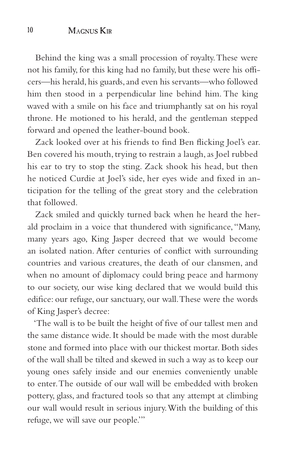Behind the king was a small procession of royalty. These were not his family, for this king had no family, but these were his officers—his herald, his guards, and even his servants—who followed him then stood in a perpendicular line behind him. The king waved with a smile on his face and triumphantly sat on his royal throne. He motioned to his herald, and the gentleman stepped forward and opened the leather-bound book.

Zack looked over at his friends to find Ben flicking Joel's ear. Ben covered his mouth, trying to restrain a laugh, as Joel rubbed his ear to try to stop the sting. Zack shook his head, but then he noticed Curdie at Joel's side, her eyes wide and fixed in anticipation for the telling of the great story and the celebration that followed.

Zack smiled and quickly turned back when he heard the herald proclaim in a voice that thundered with significance, "Many, many years ago, King Jasper decreed that we would become an isolated nation. After centuries of conflict with surrounding countries and various creatures, the death of our clansmen, and when no amount of diplomacy could bring peace and harmony to our society, our wise king declared that we would build this edifice: our refuge, our sanctuary, our wall. These were the words of King Jasper's decree:

'The wall is to be built the height of five of our tallest men and the same distance wide. It should be made with the most durable stone and formed into place with our thickest mortar. Both sides of the wall shall be tilted and skewed in such a way as to keep our young ones safely inside and our enemies conveniently unable to enter. The outside of our wall will be embedded with broken pottery, glass, and fractured tools so that any attempt at climbing our wall would result in serious injury. With the building of this refuge, we will save our people.'"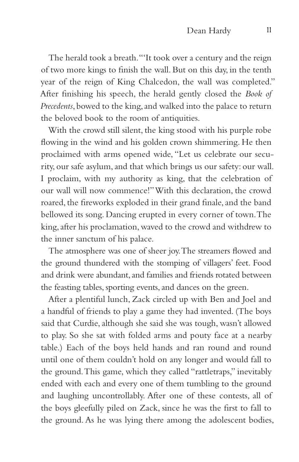The herald took a breath. "'It took over a century and the reign of two more kings to finish the wall. But on this day, in the tenth year of the reign of King Chalcedon, the wall was completed." After finishing his speech, the herald gently closed the *Book of Precedents*, bowed to the king, and walked into the palace to return the beloved book to the room of antiquities.

With the crowd still silent, the king stood with his purple robe flowing in the wind and his golden crown shimmering. He then proclaimed with arms opened wide, "Let us celebrate our security, our safe asylum, and that which brings us our safety: our wall. I proclaim, with my authority as king, that the celebration of our wall will now commence!" With this declaration, the crowd roared, the fireworks exploded in their grand finale, and the band bellowed its song. Dancing erupted in every corner of town. The king, after his proclamation, waved to the crowd and withdrew to the inner sanctum of his palace.

The atmosphere was one of sheer joy. The streamers flowed and the ground thundered with the stomping of villagers' feet. Food and drink were abundant, and families and friends rotated between the feasting tables, sporting events, and dances on the green.

After a plentiful lunch, Zack circled up with Ben and Joel and a handful of friends to play a game they had invented. (The boys said that Curdie, although she said she was tough, wasn't allowed to play. So she sat with folded arms and pouty face at a nearby table.) Each of the boys held hands and ran round and round until one of them couldn't hold on any longer and would fall to the ground. This game, which they called "rattletraps," inevitably ended with each and every one of them tumbling to the ground and laughing uncontrollably. After one of these contests, all of the boys gleefully piled on Zack, since he was the first to fall to the ground. As he was lying there among the adolescent bodies,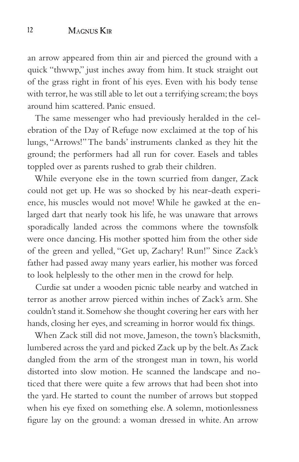an arrow appeared from thin air and pierced the ground with a quick "thwwp," just inches away from him. It stuck straight out of the grass right in front of his eyes. Even with his body tense with terror, he was still able to let out a terrifying scream; the boys around him scattered. Panic ensued.

The same messenger who had previously heralded in the celebration of the Day of Refuge now exclaimed at the top of his lungs, "Arrows!" The bands' instruments clanked as they hit the ground; the performers had all run for cover. Easels and tables toppled over as parents rushed to grab their children.

While everyone else in the town scurried from danger, Zack could not get up. He was so shocked by his near-death experience, his muscles would not move! While he gawked at the enlarged dart that nearly took his life, he was unaware that arrows sporadically landed across the commons where the townsfolk were once dancing. His mother spotted him from the other side of the green and yelled, "Get up, Zachary! Run!" Since Zack's father had passed away many years earlier, his mother was forced to look helplessly to the other men in the crowd for help.

Curdie sat under a wooden picnic table nearby and watched in terror as another arrow pierced within inches of Zack's arm. She couldn't stand it. Somehow she thought covering her ears with her hands, closing her eyes, and screaming in horror would fix things.

When Zack still did not move, Jameson, the town's blacksmith, lumbered across the yard and picked Zack up by the belt. As Zack dangled from the arm of the strongest man in town, his world distorted into slow motion. He scanned the landscape and noticed that there were quite a few arrows that had been shot into the yard. He started to count the number of arrows but stopped when his eye fixed on something else. A solemn, motionlessness figure lay on the ground: a woman dressed in white. An arrow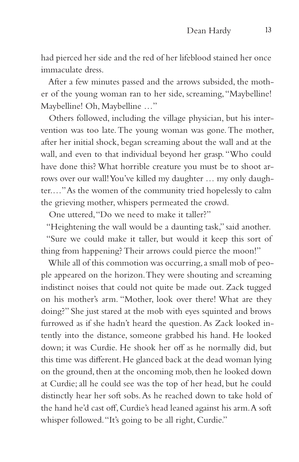had pierced her side and the red of her lifeblood stained her once immaculate dress.

After a few minutes passed and the arrows subsided, the mother of the young woman ran to her side, screaming, "Maybelline! Maybelline! Oh, Maybelline …"

Others followed, including the village physician, but his intervention was too late. The young woman was gone. The mother, after her initial shock, began screaming about the wall and at the wall, and even to that individual beyond her grasp. "Who could have done this? What horrible creature you must be to shoot arrows over our wall! You've killed my daughter … my only daughter.…" As the women of the community tried hopelessly to calm the grieving mother, whispers permeated the crowd.

One uttered, "Do we need to make it taller?"

"Heightening the wall would be a daunting task," said another. "Sure we could make it taller, but would it keep this sort of thing from happening? Their arrows could pierce the moon!"

While all of this commotion was occurring, a small mob of people appeared on the horizon. They were shouting and screaming indistinct noises that could not quite be made out. Zack tugged on his mother's arm. "Mother, look over there! What are they doing?" She just stared at the mob with eyes squinted and brows furrowed as if she hadn't heard the question. As Zack looked intently into the distance, someone grabbed his hand. He looked down; it was Curdie. He shook her off as he normally did, but this time was different. He glanced back at the dead woman lying on the ground, then at the oncoming mob, then he looked down at Curdie; all he could see was the top of her head, but he could distinctly hear her soft sobs. As he reached down to take hold of the hand he'd cast off, Curdie's head leaned against his arm. A soft whisper followed. "It's going to be all right, Curdie."